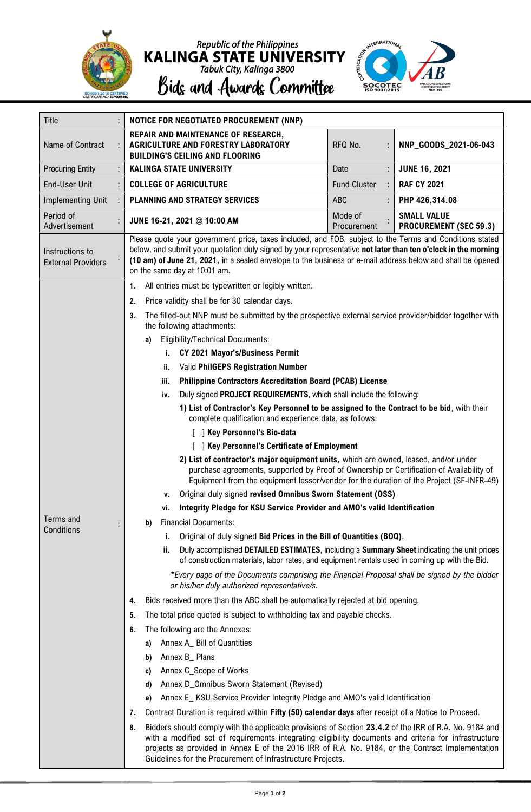

Republic of the Philippines<br> **KALINGA STATE UNIVERSITY**<br>
Tabuk City, Kalinga 3800<br> **Bidg and Awardg Committee** 



| <b>Title</b>                                 |                                                     | NOTICE FOR NEGOTIATED PROCUREMENT (NNP)                                                                                                                                                                                                                                                                                                                                                                                                                                                                                                                                                              |                     |  |                       |  |  |
|----------------------------------------------|-----------------------------------------------------|------------------------------------------------------------------------------------------------------------------------------------------------------------------------------------------------------------------------------------------------------------------------------------------------------------------------------------------------------------------------------------------------------------------------------------------------------------------------------------------------------------------------------------------------------------------------------------------------------|---------------------|--|-----------------------|--|--|
| Name of Contract                             |                                                     | REPAIR AND MAINTENANCE OF RESEARCH,<br>AGRICULTURE AND FORESTRY LABORATORY<br><b>BUILDING'S CEILING AND FLOORING</b>                                                                                                                                                                                                                                                                                                                                                                                                                                                                                 | RFQ No.             |  | NNP_GOODS_2021-06-043 |  |  |
| <b>Procuring Entity</b>                      |                                                     | <b>KALINGA STATE UNIVERSITY</b>                                                                                                                                                                                                                                                                                                                                                                                                                                                                                                                                                                      | Date                |  | <b>JUNE 16, 2021</b>  |  |  |
| <b>End-User Unit</b>                         |                                                     | <b>COLLEGE OF AGRICULTURE</b>                                                                                                                                                                                                                                                                                                                                                                                                                                                                                                                                                                        | <b>Fund Cluster</b> |  | <b>RAF CY 2021</b>    |  |  |
| Implementing Unit                            |                                                     | PLANNING AND STRATEGY SERVICES                                                                                                                                                                                                                                                                                                                                                                                                                                                                                                                                                                       | ABC                 |  | PHP 426,314.08        |  |  |
| Period of<br>Advertisement                   |                                                     | Mode of<br><b>SMALL VALUE</b><br>JUNE 16-21, 2021 @ 10:00 AM<br><b>PROCUREMENT (SEC 59.3)</b><br>Procurement                                                                                                                                                                                                                                                                                                                                                                                                                                                                                         |                     |  |                       |  |  |
| Instructions to<br><b>External Providers</b> |                                                     | Please quote your government price, taxes included, and FOB, subject to the Terms and Conditions stated<br>below, and submit your quotation duly signed by your representative not later than ten o'clock in the morning<br>(10 am) of June 21, 2021, in a sealed envelope to the business or e-mail address below and shall be opened<br>on the same day at 10:01 am.                                                                                                                                                                                                                               |                     |  |                       |  |  |
|                                              |                                                     | All entries must be typewritten or legibly written.<br>1.                                                                                                                                                                                                                                                                                                                                                                                                                                                                                                                                            |                     |  |                       |  |  |
|                                              | Price validity shall be for 30 calendar days.<br>2. |                                                                                                                                                                                                                                                                                                                                                                                                                                                                                                                                                                                                      |                     |  |                       |  |  |
|                                              |                                                     | The filled-out NNP must be submitted by the prospective external service provider/bidder together with<br>3.<br>the following attachments:                                                                                                                                                                                                                                                                                                                                                                                                                                                           |                     |  |                       |  |  |
|                                              |                                                     | <b>Eligibility/Technical Documents:</b><br>a)                                                                                                                                                                                                                                                                                                                                                                                                                                                                                                                                                        |                     |  |                       |  |  |
|                                              |                                                     | CY 2021 Mayor's/Business Permit<br>i.<br>Valid PhilGEPS Registration Number<br>ii.                                                                                                                                                                                                                                                                                                                                                                                                                                                                                                                   |                     |  |                       |  |  |
|                                              |                                                     |                                                                                                                                                                                                                                                                                                                                                                                                                                                                                                                                                                                                      |                     |  |                       |  |  |
|                                              |                                                     | <b>Philippine Contractors Accreditation Board (PCAB) License</b><br>iii.                                                                                                                                                                                                                                                                                                                                                                                                                                                                                                                             |                     |  |                       |  |  |
|                                              |                                                     | Duly signed PROJECT REQUIREMENTS, which shall include the following:<br>iv.<br>1) List of Contractor's Key Personnel to be assigned to the Contract to be bid, with their<br>complete qualification and experience data, as follows:<br>[ ] Key Personnel's Bio-data<br>[ ] Key Personnel's Certificate of Employment<br>2) List of contractor's major equipment units, which are owned, leased, and/or under<br>purchase agreements, supported by Proof of Ownership or Certification of Availability of<br>Equipment from the equipment lessor/vendor for the duration of the Project (SF-INFR-49) |                     |  |                       |  |  |
|                                              |                                                     |                                                                                                                                                                                                                                                                                                                                                                                                                                                                                                                                                                                                      |                     |  |                       |  |  |
|                                              |                                                     |                                                                                                                                                                                                                                                                                                                                                                                                                                                                                                                                                                                                      |                     |  |                       |  |  |
|                                              |                                                     |                                                                                                                                                                                                                                                                                                                                                                                                                                                                                                                                                                                                      |                     |  |                       |  |  |
|                                              |                                                     |                                                                                                                                                                                                                                                                                                                                                                                                                                                                                                                                                                                                      |                     |  |                       |  |  |
|                                              |                                                     | Original duly signed revised Omnibus Sworn Statement (OSS)<br>۷.                                                                                                                                                                                                                                                                                                                                                                                                                                                                                                                                     |                     |  |                       |  |  |
|                                              |                                                     | Integrity Pledge for KSU Service Provider and AMO's valid Identification<br>۷i.                                                                                                                                                                                                                                                                                                                                                                                                                                                                                                                      |                     |  |                       |  |  |
| Terms and<br>Conditions                      |                                                     | <b>Financial Documents:</b><br>b)                                                                                                                                                                                                                                                                                                                                                                                                                                                                                                                                                                    |                     |  |                       |  |  |
|                                              |                                                     | Original of duly signed Bid Prices in the Bill of Quantities (BOQ).<br>i.                                                                                                                                                                                                                                                                                                                                                                                                                                                                                                                            |                     |  |                       |  |  |
|                                              |                                                     | Duly accomplished DETAILED ESTIMATES, including a Summary Sheet indicating the unit prices<br>ii.<br>of construction materials, labor rates, and equipment rentals used in coming up with the Bid.                                                                                                                                                                                                                                                                                                                                                                                                   |                     |  |                       |  |  |
|                                              |                                                     | *Every page of the Documents comprising the Financial Proposal shall be signed by the bidder<br>or his/her duly authorized representative/s.                                                                                                                                                                                                                                                                                                                                                                                                                                                         |                     |  |                       |  |  |
|                                              |                                                     | Bids received more than the ABC shall be automatically rejected at bid opening.<br>4.                                                                                                                                                                                                                                                                                                                                                                                                                                                                                                                |                     |  |                       |  |  |
|                                              |                                                     | The total price quoted is subject to withholding tax and payable checks.<br>5.                                                                                                                                                                                                                                                                                                                                                                                                                                                                                                                       |                     |  |                       |  |  |
|                                              | The following are the Annexes:<br>6.                |                                                                                                                                                                                                                                                                                                                                                                                                                                                                                                                                                                                                      |                     |  |                       |  |  |
|                                              |                                                     | Annex A_ Bill of Quantities<br>a)                                                                                                                                                                                                                                                                                                                                                                                                                                                                                                                                                                    |                     |  |                       |  |  |
|                                              |                                                     | Annex B_ Plans<br>b)                                                                                                                                                                                                                                                                                                                                                                                                                                                                                                                                                                                 |                     |  |                       |  |  |
|                                              |                                                     | Annex C_Scope of Works<br>C)                                                                                                                                                                                                                                                                                                                                                                                                                                                                                                                                                                         |                     |  |                       |  |  |
|                                              |                                                     | Annex D_Omnibus Sworn Statement (Revised)<br>d)                                                                                                                                                                                                                                                                                                                                                                                                                                                                                                                                                      |                     |  |                       |  |  |
|                                              |                                                     | Annex E_ KSU Service Provider Integrity Pledge and AMO's valid Identification<br>e)                                                                                                                                                                                                                                                                                                                                                                                                                                                                                                                  |                     |  |                       |  |  |
|                                              |                                                     | Contract Duration is required within Fifty (50) calendar days after receipt of a Notice to Proceed.<br>7.                                                                                                                                                                                                                                                                                                                                                                                                                                                                                            |                     |  |                       |  |  |
|                                              |                                                     | Bidders should comply with the applicable provisions of Section 23.4.2 of the IRR of R.A. No. 9184 and<br>8.<br>with a modified set of requirements integrating eligibility documents and criteria for infrastructure<br>projects as provided in Annex E of the 2016 IRR of R.A. No. 9184, or the Contract Implementation<br>Guidelines for the Procurement of Infrastructure Projects.                                                                                                                                                                                                              |                     |  |                       |  |  |